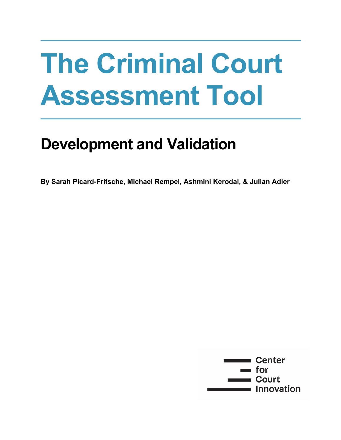# **The Criminal Court Assessment Tool**

# **Development and Validation**

**By Sarah Picard-Fritsche, Michael Rempel, Ashmini Kerodal, & Julian Adler**

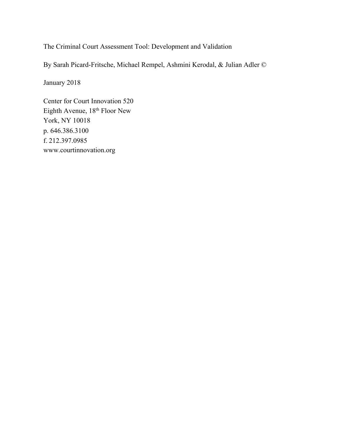The Criminal Court Assessment Tool: Development and Validation

By Sarah Picard-Fritsche, Michael Rempel, Ashmini Kerodal, & Julian Adler ©

January 2018

Center for Court Innovation 520 Eighth Avenue, 18<sup>th</sup> Floor New York, NY 10018 p. 646.386.3100 f. 212.397.0985 www.courtinnovation.org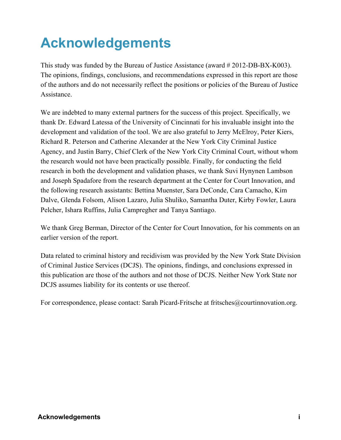# **Acknowledgements**

This study was funded by the Bureau of Justice Assistance (award # 2012-DB-BX-K003). The opinions, findings, conclusions, and recommendations expressed in this report are those of the authors and do not necessarily reflect the positions or policies of the Bureau of Justice Assistance.

We are indebted to many external partners for the success of this project. Specifically, we thank Dr. Edward Latessa of the University of Cincinnati for his invaluable insight into the development and validation of the tool. We are also grateful to Jerry McElroy, Peter Kiers, Richard R. Peterson and Catherine Alexander at the New York City Criminal Justice Agency, and Justin Barry, Chief Clerk of the New York City Criminal Court, without whom the research would not have been practically possible. Finally, for conducting the field research in both the development and validation phases, we thank Suvi Hynynen Lambson and Joseph Spadafore from the research department at the Center for Court Innovation, and the following research assistants: Bettina Muenster, Sara DeConde, Cara Camacho, Kim Dalve, Glenda Folsom, Alison Lazaro, Julia Shuliko, Samantha Duter, Kirby Fowler, Laura Pelcher, Ishara Ruffins, Julia Campregher and Tanya Santiago.

We thank Greg Berman, Director of the Center for Court Innovation, for his comments on an earlier version of the report.

Data related to criminal history and recidivism was provided by the New York State Division of Criminal Justice Services (DCJS). The opinions, findings, and conclusions expressed in this publication are those of the authors and not those of DCJS. Neither New York State nor DCJS assumes liability for its contents or use thereof.

For correspondence, please contact: Sarah Picard-Fritsche at fritsches@courtinnovation.org.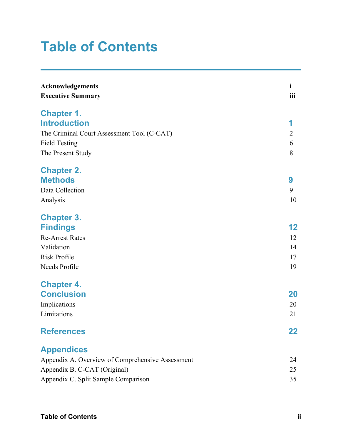# **Table of Contents**

| Acknowledgements<br><b>Executive Summary</b>     | $\mathbf{i}$<br>iii |
|--------------------------------------------------|---------------------|
| <b>Chapter 1.</b>                                |                     |
| <b>Introduction</b>                              | 1                   |
| The Criminal Court Assessment Tool (C-CAT)       | $\overline{2}$      |
| <b>Field Testing</b>                             | 6                   |
| The Present Study                                | 8                   |
| <b>Chapter 2.</b>                                |                     |
| <b>Methods</b>                                   | 9                   |
| Data Collection                                  | 9                   |
| Analysis                                         | 10                  |
| <b>Chapter 3.</b>                                |                     |
| <b>Findings</b>                                  | $12 \,$             |
| <b>Re-Arrest Rates</b>                           | 12                  |
| Validation                                       | 14                  |
| <b>Risk Profile</b>                              | 17                  |
| Needs Profile                                    | 19                  |
| <b>Chapter 4.</b>                                |                     |
| <b>Conclusion</b>                                | 20                  |
| Implications                                     | 20                  |
| Limitations                                      | 21                  |
| <b>References</b>                                | 22                  |
| <b>Appendices</b>                                |                     |
| Appendix A. Overview of Comprehensive Assessment | 24                  |
| Appendix B. C-CAT (Original)                     | 25                  |
| Appendix C. Split Sample Comparison              | 35                  |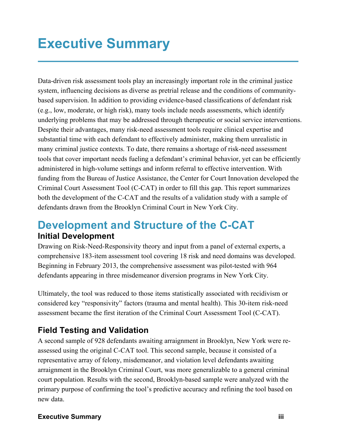# **Executive Summary**

Data-driven risk assessment tools play an increasingly important role in the criminal justice system, influencing decisions as diverse as pretrial release and the conditions of communitybased supervision. In addition to providing evidence-based classifications of defendant risk (e.g., low, moderate, or high risk), many tools include needs assessments, which identify underlying problems that may be addressed through therapeutic or social service interventions. Despite their advantages, many risk-need assessment tools require clinical expertise and substantial time with each defendant to effectively administer, making them unrealistic in many criminal justice contexts. To date, there remains a shortage of risk-need assessment tools that cover important needs fueling a defendant's criminal behavior, yet can be efficiently administered in high-volume settings and inform referral to effective intervention. With funding from the Bureau of Justice Assistance, the Center for Court Innovation developed the Criminal Court Assessment Tool (C-CAT) in order to fill this gap. This report summarizes both the development of the C-CAT and the results of a validation study with a sample of defendants drawn from the Brooklyn Criminal Court in New York City.

#### **Development and Structure of the C-CAT Initial Development**

Drawing on Risk-Need-Responsivity theory and input from a panel of external experts, a comprehensive 183-item assessment tool covering 18 risk and need domains was developed. Beginning in February 2013, the comprehensive assessment was pilot-tested with 964 defendants appearing in three misdemeanor diversion programs in New York City.

Ultimately, the tool was reduced to those items statistically associated with recidivism or considered key "responsivity" factors (trauma and mental health). This 30-item risk-need assessment became the first iteration of the Criminal Court Assessment Tool (C-CAT).

#### **Field Testing and Validation**

A second sample of 928 defendants awaiting arraignment in Brooklyn, New York were reassessed using the original C-CAT tool. This second sample, because it consisted of a representative array of felony, misdemeanor, and violation level defendants awaiting arraignment in the Brooklyn Criminal Court, was more generalizable to a general criminal court population. Results with the second, Brooklyn-based sample were analyzed with the primary purpose of confirming the tool's predictive accuracy and refining the tool based on new data.

#### **Executive Summary iii**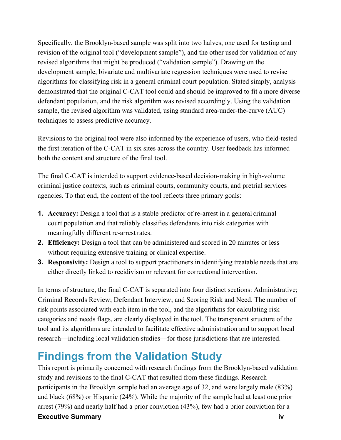Specifically, the Brooklyn-based sample was split into two halves, one used for testing and revision of the original tool ("development sample"), and the other used for validation of any revised algorithms that might be produced ("validation sample"). Drawing on the development sample, bivariate and multivariate regression techniques were used to revise algorithms for classifying risk in a general criminal court population. Stated simply, analysis demonstrated that the original C-CAT tool could and should be improved to fit a more diverse defendant population, and the risk algorithm was revised accordingly. Using the validation sample, the revised algorithm was validated, using standard area-under-the-curve (AUC) techniques to assess predictive accuracy.

Revisions to the original tool were also informed by the experience of users, who field-tested the first iteration of the C-CAT in six sites across the country. User feedback has informed both the content and structure of the final tool.

The final C-CAT is intended to support evidence-based decision-making in high-volume criminal justice contexts, such as criminal courts, community courts, and pretrial services agencies. To that end, the content of the tool reflects three primary goals:

- **1. Accuracy:** Design a tool that is a stable predictor of re-arrest in a general criminal court population and that reliably classifies defendants into risk categories with meaningfully different re-arrest rates.
- **2. Efficiency:** Design a tool that can be administered and scored in 20 minutes or less without requiring extensive training or clinical expertise.
- **3. Responsivity:** Design a tool to support practitioners in identifying treatable needs that are either directly linked to recidivism or relevant for correctional intervention.

In terms of structure, the final C-CAT is separated into four distinct sections: Administrative; Criminal Records Review; Defendant Interview; and Scoring Risk and Need. The number of risk points associated with each item in the tool, and the algorithms for calculating risk categories and needs flags, are clearly displayed in the tool. The transparent structure of the tool and its algorithms are intended to facilitate effective administration and to support local research—including local validation studies—for those jurisdictions that are interested.

### **Findings from the Validation Study**

This report is primarily concerned with research findings from the Brooklyn-based validation study and revisions to the final C-CAT that resulted from these findings. Research participants in the Brooklyn sample had an average age of 32, and were largely male (83%) and black (68%) or Hispanic (24%). While the majority of the sample had at least one prior arrest (79%) and nearly half had a prior conviction (43%), few had a prior conviction for a

**Executive Summary iv**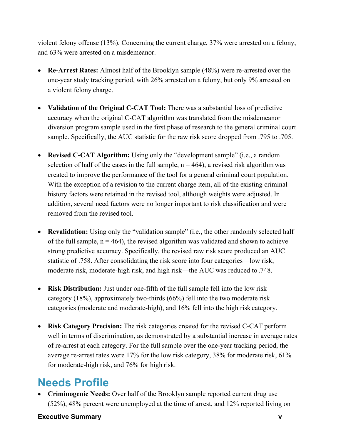violent felony offense (13%). Concerning the current charge, 37% were arrested on a felony, and 63% were arrested on a misdemeanor.

- **Re-Arrest Rates:** Almost half of the Brooklyn sample (48%) were re-arrested over the one-year study tracking period, with 26% arrested on a felony, but only 9% arrested on a violent felony charge.
- **Validation of the Original C-CAT Tool:** There was a substantial loss of predictive accuracy when the original C-CAT algorithm was translated from the misdemeanor diversion program sample used in the first phase of research to the general criminal court sample. Specifically, the AUC statistic for the raw risk score dropped from .795 to .705.
- **Revised C-CAT Algorithm:** Using only the "development sample" (i.e., a random selection of half of the cases in the full sample,  $n = 464$ ), a revised risk algorithm was created to improve the performance of the tool for a general criminal court population. With the exception of a revision to the current charge item, all of the existing criminal history factors were retained in the revised tool, although weights were adjusted. In addition, several need factors were no longer important to risk classification and were removed from the revised tool.
- **Revalidation:** Using only the "validation sample" (i.e., the other randomly selected half of the full sample,  $n = 464$ ), the revised algorithm was validated and shown to achieve strong predictive accuracy. Specifically, the revised raw risk score produced an AUC statistic of .758. After consolidating the risk score into four categories—low risk, moderate risk, moderate-high risk, and high risk—the AUC was reduced to .748.
- **Risk Distribution:** Just under one-fifth of the full sample fell into the low risk category (18%), approximately two-thirds (66%) fell into the two moderate risk categories (moderate and moderate-high), and 16% fell into the high risk category.
- **Risk Category Precision:** The risk categories created for the revised C-CAT perform well in terms of discrimination, as demonstrated by a substantial increase in average rates of re-arrest at each category. For the full sample over the one-year tracking period, the average re-arrest rates were 17% for the low risk category, 38% for moderate risk, 61% for moderate-high risk, and 76% for high risk.

### **Needs Profile**

• **Criminogenic Needs:** Over half of the Brooklyn sample reported current drug use (52%), 48% percent were unemployed at the time of arrest, and 12% reported living on

#### **Executive Summary v**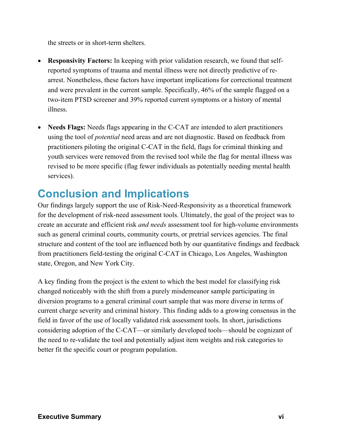the streets or in short-term shelters.

- **Responsivity Factors:** In keeping with prior validation research, we found that selfreported symptoms of trauma and mental illness were not directly predictive of rearrest. Nonetheless, these factors have important implications for correctional treatment and were prevalent in the current sample. Specifically, 46% of the sample flagged on a two-item PTSD screener and 39% reported current symptoms or a history of mental illness.
- **Needs Flags:** Needs flags appearing in the C-CAT are intended to alert practitioners using the tool of *potential* need areas and are not diagnostic. Based on feedback from practitioners piloting the original C-CAT in the field, flags for criminal thinking and youth services were removed from the revised tool while the flag for mental illness was revised to be more specific (flag fewer individuals as potentially needing mental health services).

### **Conclusion and Implications**

Our findings largely support the use of Risk-Need-Responsivity as a theoretical framework for the development of risk-need assessment tools. Ultimately, the goal of the project was to create an accurate and efficient risk *and needs* assessment tool for high-volume environments such as general criminal courts, community courts, or pretrial services agencies. The final structure and content of the tool are influenced both by our quantitative findings and feedback from practitioners field-testing the original C-CAT in Chicago, Los Angeles, Washington state, Oregon, and New York City.

A key finding from the project is the extent to which the best model for classifying risk changed noticeably with the shift from a purely misdemeanor sample participating in diversion programs to a general criminal court sample that was more diverse in terms of current charge severity and criminal history. This finding adds to a growing consensus in the field in favor of the use of locally validated risk assessment tools. In short, jurisdictions considering adoption of the C-CAT—or similarly developed tools—should be cognizant of the need to re-validate the tool and potentially adjust item weights and risk categories to better fit the specific court or program population.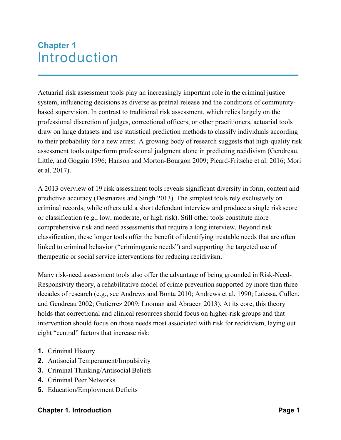### **Chapter 1** Introduction

Actuarial risk assessment tools play an increasingly important role in the criminal justice system, influencing decisions as diverse as pretrial release and the conditions of communitybased supervision. In contrast to traditional risk assessment, which relies largely on the professional discretion of judges, correctional officers, or other practitioners, actuarial tools draw on large datasets and use statistical prediction methods to classify individuals according to their probability for a new arrest. A growing body of research suggests that high-quality risk assessment tools outperform professional judgment alone in predicting recidivism (Gendreau, Little, and Goggin 1996; Hanson and Morton-Bourgon 2009; Picard-Fritsche et al. 2016; Mori et al. 2017).

A 2013 overview of 19 risk assessment tools reveals significant diversity in form, content and predictive accuracy (Desmarais and Singh 2013). The simplest tools rely exclusively on criminal records, while others add a short defendant interview and produce a single risk score or classification (e.g., low, moderate, or high risk). Still other tools constitute more comprehensive risk and need assessments that require a long interview. Beyond risk classification, these longer tools offer the benefit of identifying treatable needs that are often linked to criminal behavior ("criminogenic needs") and supporting the targeted use of therapeutic or social service interventions for reducing recidivism.

Many risk-need assessment tools also offer the advantage of being grounded in Risk-Need-Responsivity theory, a rehabilitative model of crime prevention supported by more than three decades of research (e.g., see Andrews and Bonta 2010; Andrews et al. 1990; Latessa, Cullen, and Gendreau 2002; Gutierrez 2009; Looman and Abracen 2013). At its core, this theory holds that correctional and clinical resources should focus on higher-risk groups and that intervention should focus on those needs most associated with risk for recidivism, laying out eight "central" factors that increase risk:

- **1.** Criminal History
- **2.** Antisocial Temperament/Impulsivity
- **3.** Criminal Thinking/Antisocial Beliefs
- **4.** Criminal Peer Networks
- **5.** Education/Employment Deficits

#### **Chapter 1. Introduction Page 1**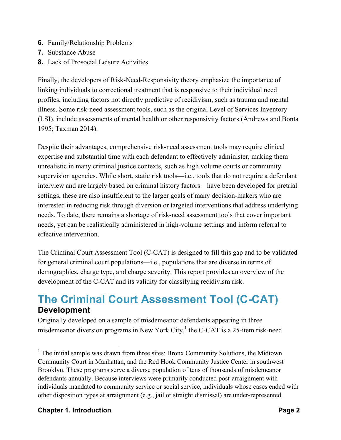- **6.** Family/Relationship Problems
- **7.** Substance Abuse
- **8.** Lack of Prosocial Leisure Activities

Finally, the developers of Risk-Need-Responsivity theory emphasize the importance of linking individuals to correctional treatment that is responsive to their individual need profiles, including factors not directly predictive of recidivism, such as trauma and mental illness. Some risk-need assessment tools, such as the original Level of Services Inventory (LSI), include assessments of mental health or other responsivity factors (Andrews and Bonta 1995; Taxman 2014).

Despite their advantages, comprehensive risk-need assessment tools may require clinical expertise and substantial time with each defendant to effectively administer, making them unrealistic in many criminal justice contexts, such as high volume courts or community supervision agencies. While short, static risk tools—i.e., tools that do not require a defendant interview and are largely based on criminal history factors—have been developed for pretrial settings, these are also insufficient to the larger goals of many decision-makers who are interested in reducing risk through diversion or targeted interventions that address underlying needs. To date, there remains a shortage of risk-need assessment tools that cover important needs, yet can be realistically administered in high-volume settings and inform referral to effective intervention.

The Criminal Court Assessment Tool (C-CAT) is designed to fill this gap and to be validated for general criminal court populations—i.e., populations that are diverse in terms of demographics, charge type, and charge severity. This report provides an overview of the development of the C-CAT and its validity for classifying recidivism risk.

#### **The Criminal Court Assessment Tool (C-CAT) Development**

Originally developed on a sample of misdemeanor defendants appearing in three misdemeanor diversion programs in New York City, $<sup>1</sup>$  the C-CAT is a 25-item risk-need</sup>

#### **Chapter 1. Introduction Page 2**

 $<sup>1</sup>$  The initial sample was drawn from three sites: Bronx Community Solutions, the Midtown</sup> Community Court in Manhattan, and the Red Hook Community Justice Center in southwest Brooklyn. These programs serve a diverse population of tens of thousands of misdemeanor defendants annually. Because interviews were primarily conducted post-arraignment with individuals mandated to community service or social service, individuals whose cases ended with other disposition types at arraignment (e.g., jail or straight dismissal) are under-represented.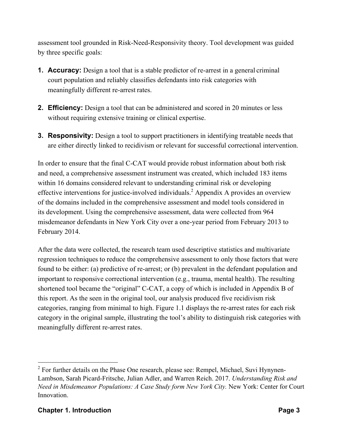assessment tool grounded in Risk-Need-Responsivity theory. Tool development was guided by three specific goals:

- **1. Accuracy:** Design a tool that is a stable predictor of re-arrest in a general criminal court population and reliably classifies defendants into risk categories with meaningfully different re-arrest rates.
- **2. Efficiency:** Design a tool that can be administered and scored in 20 minutes or less without requiring extensive training or clinical expertise.
- **3. Responsivity:** Design a tool to support practitioners in identifying treatable needs that are either directly linked to recidivism or relevant for successful correctional intervention.

In order to ensure that the final C-CAT would provide robust information about both risk and need, a comprehensive assessment instrument was created, which included 183 items within 16 domains considered relevant to understanding criminal risk or developing effective interventions for justice-involved individuals. <sup>2</sup> Appendix A provides an overview of the domains included in the comprehensive assessment and model tools considered in its development. Using the comprehensive assessment, data were collected from 964 misdemeanor defendants in New York City over a one-year period from February 2013 to February 2014.

After the data were collected, the research team used descriptive statistics and multivariate regression techniques to reduce the comprehensive assessment to only those factors that were found to be either: (a) predictive of re-arrest; or (b) prevalent in the defendant population and important to responsive correctional intervention (e.g., trauma, mental health). The resulting shortened tool became the "original" C-CAT, a copy of which is included in Appendix B of this report. As the seen in the original tool, our analysis produced five recidivism risk categories, ranging from minimal to high. Figure 1.1 displays the re-arrest rates for each risk category in the original sample, illustrating the tool's ability to distinguish risk categories with meaningfully different re-arrest rates.

 $2$  For further details on the Phase One research, please see: Rempel, Michael, Suvi Hynynen-Lambson, Sarah Picard-Fritsche, Julian Adler, and Warren Reich. 2017. *Understanding Risk and Need in Misdemeanor Populations: A Case Study form New York City.* New York: Center for Court **Innovation**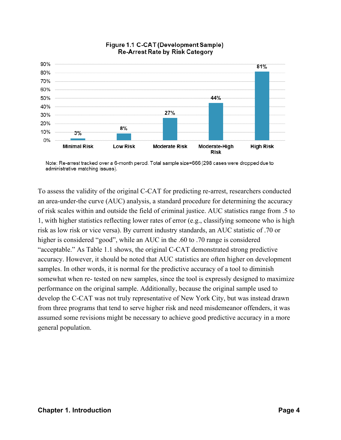

#### Figure 1.1 C-CAT (Development Sample) **Re-Arrest Rate by Risk Category**

To assess the validity of the original C-CAT for predicting re-arrest, researchers conducted an area-under-the curve (AUC) analysis, a standard procedure for determining the accuracy of risk scales within and outside the field of criminal justice. AUC statistics range from .5 to 1, with higher statistics reflecting lower rates of error (e.g., classifying someone who is high risk as low risk or vice versa). By current industry standards, an AUC statistic of .70 or higher is considered "good", while an AUC in the .60 to .70 range is considered "acceptable." As Table 1.1 shows, the original C-CAT demonstrated strong predictive accuracy. However, it should be noted that AUC statistics are often higher on development samples. In other words, it is normal for the predictive accuracy of a tool to diminish somewhat when re- tested on new samples, since the tool is expressly designed to maximize performance on the original sample. Additionally, because the original sample used to develop the C-CAT was not truly representative of New York City, but was instead drawn from three programs that tend to serve higher risk and need misdemeanor offenders, it was assumed some revisions might be necessary to achieve good predictive accuracy in a more general population.

Note: Re-arrest tracked over a 6-month perod. Total sample size=666 (298 cases were dropped due to administrative matching issues).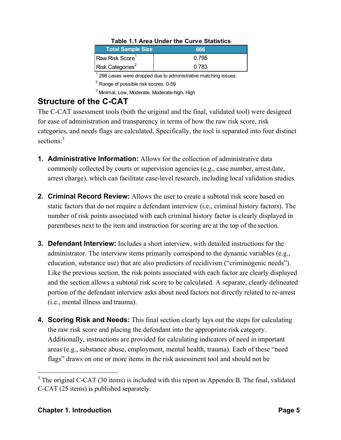| <b>Total Sample Size</b>     | 666   |
|------------------------------|-------|
| Raw Risk Score <sup>1</sup>  | 0.795 |
| Risk Categories <sup>2</sup> | 0.783 |

#### **Table 1.1 Area Under the Curve Statistics**

 $1$  298 cases were dropped due to administrative matching issues.

 $^2$  Range of possible risk scores: 0-59

3 Minimal, Low, Moderate, Moderate-high, High

#### **Structure of the C-CAT**

The C-CAT assessment tools (both the original and the final, validated tool) were designed for ease of administration and transparency in terms of how the raw risk score, risk categories, and needs flags are calculated. Specifically, the tool is separated into four distinct sections:<sup>3</sup>

- **1. Administrative Information:** Allows for the collection of administrative data commonly collected by courts or supervision agencies (e.g., case number, arrest date, arrest charge), which can facilitate case-level research, including local validation studies.
- **2. Criminal Record Review:** Allows the user to create a subtotal risk score based on static factors that do not require a defendant interview (i.e., criminal history factors). The number of risk points associated with each criminal history factor is clearly displayed in parentheses next to the item and instruction for scoring are at the top of the section.
- **3. Defendant Interview:** Includes a short interview, with detailed instructions for the administrator. The interview items primarily correspond to the dynamic variables (e.g., education, substance use) that are also predictors of recidivism ("criminogenic needs"). Like the previous section, the risk points associated with each factor are clearly displayed and the section allows a subtotal risk score to be calculated. A separate, clearly delineated portion of the defendant interview asks about need factors not directly related to re-arrest (i.e., mental illness and trauma).
- **4. Scoring Risk and Needs:** This final section clearly lays out the steps for calculating the raw risk score and placing the defendant into the appropriate risk category. Additionally, instructions are provided for calculating indicators of need in important areas (e.g., substance abuse, employment, mental health, trauma). Each of these "need flags" draws on one or more items in the risk assessment tool and should not be

<sup>&</sup>lt;sup>3</sup> The original C-CAT (30 items) is included with this report as Appendix B. The final, validated C-CAT (25 items) is published separately.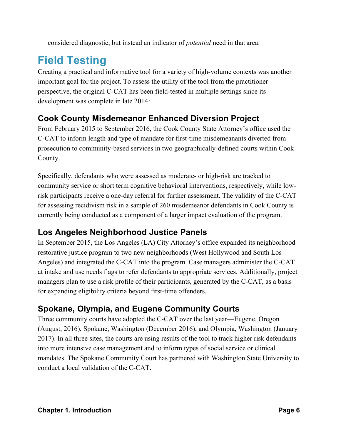considered diagnostic, but instead an indicator of *potential* need in that area.

## **Field Testing**

Creating a practical and informative tool for a variety of high-volume contexts was another important goal for the project. To assess the utility of the tool from the practitioner perspective, the original C-CAT has been field-tested in multiple settings since its development was complete in late 2014:

#### **Cook County Misdemeanor Enhanced Diversion Project**

From February 2015 to September 2016, the Cook County State Attorney's office used the C-CAT to inform length and type of mandate for first-time misdemeanants diverted from prosecution to community-based services in two geographically-defined courts within Cook County.

Specifically, defendants who were assessed as moderate- or high-risk are tracked to community service or short term cognitive behavioral interventions, respectively, while lowrisk participants receive a one-day referral for further assessment. The validity of the C-CAT for assessing recidivism risk in a sample of 260 misdemeanor defendants in Cook County is currently being conducted as a component of a larger impact evaluation of the program.

#### **Los Angeles Neighborhood Justice Panels**

In September 2015, the Los Angeles (LA) City Attorney's office expanded its neighborhood restorative justice program to two new neighborhoods (West Hollywood and South Los Angeles) and integrated the C-CAT into the program. Case managers administer the C-CAT at intake and use needs flags to refer defendants to appropriate services. Additionally, project managers plan to use a risk profile of their participants, generated by the C-CAT, as a basis for expanding eligibility criteria beyond first-time offenders.

#### **Spokane, Olympia, and Eugene Community Courts**

Three community courts have adopted the C-CAT over the last year—Eugene, Oregon (August, 2016), Spokane, Washington (December 2016), and Olympia, Washington (January 2017). In all three sites, the courts are using results of the tool to track higher risk defendants into more intensive case management and to inform types of social service or clinical mandates. The Spokane Community Court has partnered with Washington State University to conduct a local validation of the C-CAT.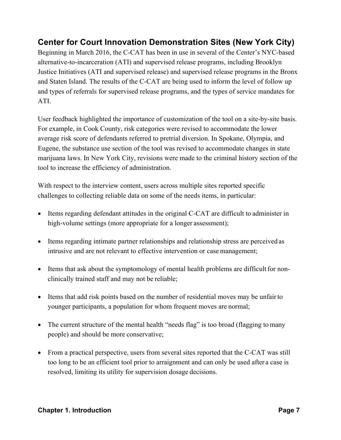#### **Center for Court Innovation Demonstration Sites (New York City)**

Beginning in March 2016, the C-CAT has been in use in several of the Center's NYC-based alternative-to-incarceration (ATI) and supervised release programs, including Brooklyn Justice Initiatives (ATI and supervised release) and supervised release programs in the Bronx and Staten Island. The results of the C-CAT are being used to inform the level of follow up and types of referrals for supervised release programs, and the types of service mandates for ATI.

User feedback highlighted the importance of customization of the tool on a site-by-site basis. For example, in Cook County, risk categories were revised to accommodate the lower average risk score of defendants referred to pretrial diversion. In Spokane, Olympia, and Eugene, the substance use section of the tool was revised to accommodate changes in state marijuana laws. In New York City, revisions were made to the criminal history section of the tool to increase the efficiency of administration.

With respect to the interview content, users across multiple sites reported specific challenges to collecting reliable data on some of the needs items, in particular:

- Items regarding defendant attitudes in the original C-CAT are difficult to administer in high-volume settings (more appropriate for a longer assessment);
- Items regarding intimate partner relationships and relationship stress are perceived as intrusive and are not relevant to effective intervention or case management;
- Items that ask about the symptomology of mental health problems are difficult for nonclinically trained staff and may not be reliable;
- Items that add risk points based on the number of residential moves may be unfair to younger participants, a population for whom frequent moves are normal;
- The current structure of the mental health "needs flag" is too broad (flagging to many people) and should be more conservative;
- From a practical perspective, users from several sites reported that the C-CAT was still too long to be an efficient tool prior to arraignment and can only be used after a case is resolved, limiting its utility for supervision dosage decisions.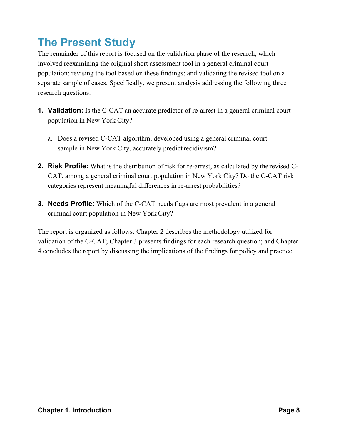### **The Present Study**

The remainder of this report is focused on the validation phase of the research, which involved reexamining the original short assessment tool in a general criminal court population; revising the tool based on these findings; and validating the revised tool on a separate sample of cases. Specifically, we present analysis addressing the following three research questions:

- **1. Validation:** Is the C-CAT an accurate predictor of re-arrest in a general criminal court population in New York City?
	- a. Does a revised C-CAT algorithm, developed using a general criminal court sample in New York City, accurately predict recidivism?
- **2. Risk Profile:** What is the distribution of risk for re-arrest, as calculated by the revised C-CAT, among a general criminal court population in New York City? Do the C-CAT risk categories represent meaningful differences in re-arrest probabilities?
- **3. Needs Profile:** Which of the C-CAT needs flags are most prevalent in a general criminal court population in New York City?

The report is organized as follows: Chapter 2 describes the methodology utilized for validation of the C-CAT; Chapter 3 presents findings for each research question; and Chapter 4 concludes the report by discussing the implications of the findings for policy and practice.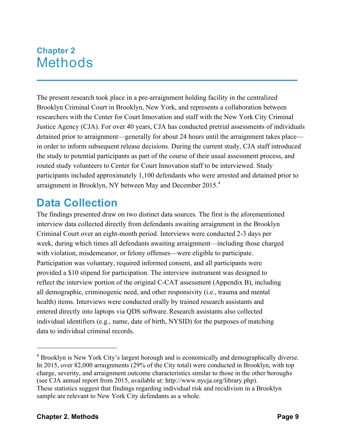### **Chapter 2** Methods

The present research took place in a pre-arraignment holding facility in the centralized Brooklyn Criminal Court in Brooklyn, New York, and represents a collaboration between researchers with the Center for Court Innovation and staff with the New York City Criminal Justice Agency (CJA). For over 40 years, CJA has conducted pretrial assessments of individuals detained prior to arraignment—generally for about 24 hours until the arraignment takes place in order to inform subsequent release decisions. During the current study, CJA staff introduced the study to potential participants as part of the course of their usual assessment process, and routed study volunteers to Center for Court Innovation staff to be interviewed. Study participants included approximately 1,100 defendants who were arrested and detained prior to arraignment in Brooklyn, NY between May and December 2015.<sup>4</sup>

### **Data Collection**

The findings presented draw on two distinct data sources. The first is the aforementioned interview data collected directly from defendants awaiting arraignment in the Brooklyn Criminal Court over an eight-month period. Interviews were conducted 2-3 days per week, during which times all defendants awaiting arraignment—including those charged with violation, misdemeanor, or felony offenses—were eligible to participate. Participation was voluntary, required informed consent, and all participants were provided a \$10 stipend for participation. The interview instrument was designed to reflect the interview portion of the original C-CAT assessment (Appendix B), including all demographic, criminogenic need, and other responsivity (i.e., trauma and mental health) items. Interviews were conducted orally by trained research assistants and entered directly into laptops via QDS software.Research assistants also collected individual identifiers (e.g., name, date of birth, NYSID) for the purposes of matching data to individual criminal records.

<sup>4</sup> Brooklyn is New York City's largest borough and is economically and demographically diverse. In 2015, over 82,000 arraignments (29% of the City total) were conducted in Brooklyn, with top charge, severity, and arraignment outcome characteristics similar to those in the other boroughs (see CJA annual report from 2015, available at: http://www.nycja.org/library.php). These statistics suggest that findings regarding individual risk and recidivism in a Brooklyn sample are relevant to New York City defendants as a whole.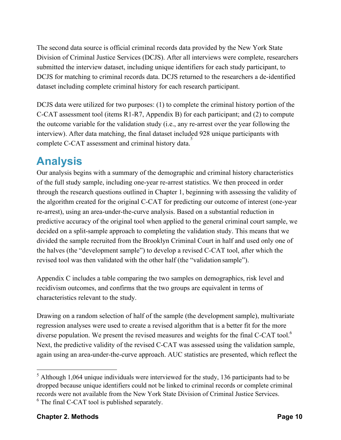The second data source is official criminal records data provided by the New York State Division of Criminal Justice Services (DCJS). After all interviews were complete, researchers submitted the interview dataset, including unique identifiers for each study participant, to DCJS for matching to criminal records data. DCJS returned to the researchers a de-identified dataset including complete criminal history for each research participant.

DCJS data were utilized for two purposes: (1) to complete the criminal history portion of the C-CAT assessment tool (items R1-R7, Appendix B) for each participant; and (2) to compute the outcome variable for the validation study (i.e., any re-arrest over the year following the interview). After data matching, the final dataset included 928 unique participants with complete C-CAT assessment and criminal history data.<sup>5</sup>

### **Analysis**

Our analysis begins with a summary of the demographic and criminal history characteristics of the full study sample, including one-year re-arrest statistics. We then proceed in order through the research questions outlined in Chapter 1, beginning with assessing the validity of the algorithm created for the original C-CAT for predicting our outcome of interest (one-year re-arrest), using an area-under-the-curve analysis. Based on a substantial reduction in predictive accuracy of the original tool when applied to the general criminal court sample, we decided on a split-sample approach to completing the validation study. This means that we divided the sample recruited from the Brooklyn Criminal Court in half and used only one of the halves (the "development sample") to develop a revised C-CAT tool, after which the revised tool was then validated with the other half (the "validation sample").

Appendix C includes a table comparing the two samples on demographics, risk level and recidivism outcomes, and confirms that the two groups are equivalent in terms of characteristics relevant to the study.

Drawing on a random selection of half of the sample (the development sample), multivariate regression analyses were used to create a revised algorithm that is a better fit for the more diverse population. We present the revised measures and weights for the final C-CAT tool.<sup>6</sup> Next, the predictive validity of the revised C-CAT was assessed using the validation sample, again using an area-under-the-curve approach. AUC statistics are presented, which reflect the

 $<sup>5</sup>$  Although 1,064 unique individuals were interviewed for the study, 136 participants had to be</sup> dropped because unique identifiers could not be linked to criminal records or complete criminal records were not available from the New York State Division of Criminal Justice Services. <sup>6</sup> The final C-CAT tool is published separately.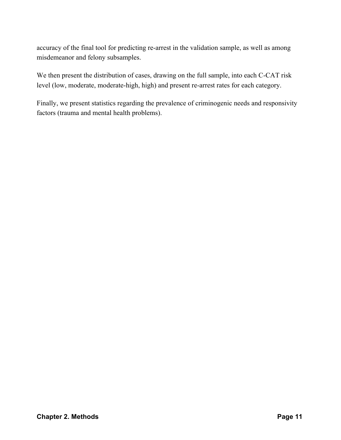accuracy of the final tool for predicting re-arrest in the validation sample, as well as among misdemeanor and felony subsamples.

We then present the distribution of cases, drawing on the full sample, into each C-CAT risk level (low, moderate, moderate-high, high) and present re-arrest rates for each category.

Finally, we present statistics regarding the prevalence of criminogenic needs and responsivity factors (trauma and mental health problems).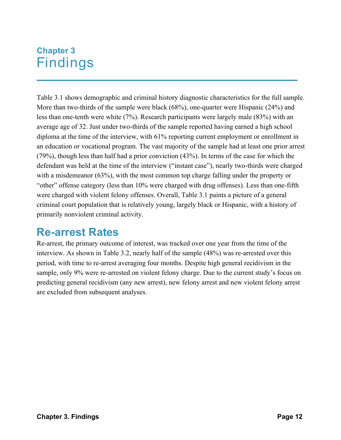### **Chapter 3** Findings

Table 3.1 shows demographic and criminal history diagnostic characteristics for the full sample. More than two-thirds of the sample were black (68%), one-quarter were Hispanic (24%) and less than one-tenth were white (7%). Research participants were largely male (83%) with an average age of 32. Just under two-thirds of the sample reported having earned a high school diploma at the time of the interview, with 61% reporting current employment or enrollment in an education or vocational program. The vast majority of the sample had at least one prior arrest (79%), though less than half had a prior conviction (43%). In terms of the case for which the defendant was held at the time of the interview ("instant case"), nearly two-thirds were charged with a misdemeanor (63%), with the most common top charge falling under the property or "other" offense category (less than 10% were charged with drug offenses). Less than one-fifth were charged with violent felony offenses. Overall, Table 3.1 paints a picture of a general criminal court population that is relatively young, largely black or Hispanic, with a history of primarily nonviolent criminal activity.

### **Re-arrest Rates**

Re-arrest, the primary outcome of interest, was tracked over one year from the time of the interview. As shown in Table 3.2, nearly half of the sample (48%) was re-arrested over this period, with time to re-arrest averaging four months. Despite high general recidivism in the sample, only 9% were re-arrested on violent felony charge. Due to the current study's focus on predicting general recidivism (any new arrest), new felony arrest and new violent felony arrest are excluded from subsequent analyses.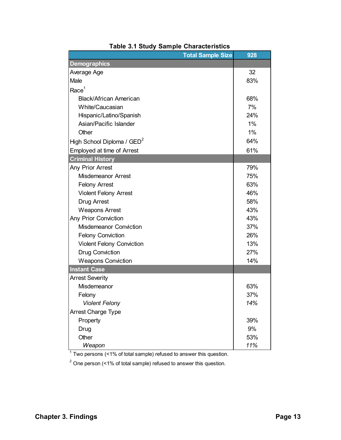| <b>Total Sample Size</b>               | 928   |
|----------------------------------------|-------|
| <b>Demographics</b>                    |       |
| Average Age                            | 32    |
| Male                                   | 83%   |
| Race <sup>1</sup>                      |       |
| Black/African American                 | 68%   |
| White/Caucasian                        | 7%    |
| Hispanic/Latino/Spanish                | 24%   |
| Asian/Pacific Islander                 | $1\%$ |
| Other                                  | $1\%$ |
| High School Diploma / GED <sup>2</sup> | 64%   |
| Employed at time of Arrest             | 61%   |
| <b>Criminal History</b>                |       |
| Any Prior Arrest                       | 79%   |
| <b>Misdemeanor Arrest</b>              | 75%   |
| <b>Felony Arrest</b>                   | 63%   |
| <b>Violent Felony Arrest</b>           | 46%   |
| Drug Arrest                            | 58%   |
| <b>Weapons Arrest</b>                  | 43%   |
| <b>Any Prior Conviction</b>            | 43%   |
| <b>Misdemeanor Conviction</b>          | 37%   |
| <b>Felony Conviction</b>               | 26%   |
| <b>Violent Felony Conviction</b>       | 13%   |
| <b>Drug Conviction</b>                 | 27%   |
| <b>Weapons Conviction</b>              | 14%   |
| <b>Instant Case</b>                    |       |
| <b>Arrest Severity</b>                 |       |
| Misdemeanor                            | 63%   |
| Felony                                 | 37%   |
| <b>Violent Felony</b>                  | 14%   |
| Arrest Charge Type                     |       |
| Property                               | 39%   |
| Drug                                   | 9%    |
| Other                                  | 53%   |
| Weapon                                 | 11%   |

|  |  |  |  | <b>Table 3.1 Study Sample Characteristics</b> |
|--|--|--|--|-----------------------------------------------|
|--|--|--|--|-----------------------------------------------|

 $1$  Two persons (<1% of total sample) refused to answer this question.

 $2$  One person (<1% of total sample) refused to answer this question.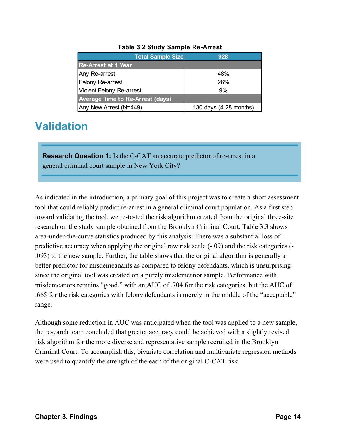| <b>Total Sample Size</b>                | 928                    |  |  |  |
|-----------------------------------------|------------------------|--|--|--|
| <b>Re-Arrest at 1 Year</b>              |                        |  |  |  |
| Any Re-arrest                           | 48%                    |  |  |  |
| <b>Felony Re-arrest</b>                 | 26%                    |  |  |  |
| <b>Violent Felony Re-arrest</b>         | 9%                     |  |  |  |
| <b>Average Time to Re-Arrest (days)</b> |                        |  |  |  |
| Any New Arrest (N=449)                  | 130 days (4.28 months) |  |  |  |

#### **Table 3.2 Study Sample Re-Arrest**

### **Validation**

**Research Question 1:** Is the C-CAT an accurate predictor of re-arrest in a general criminal court sample in New York City?

As indicated in the introduction, a primary goal of this project was to create a short assessment tool that could reliably predict re-arrest in a general criminal court population. As a first step toward validating the tool, we re-tested the risk algorithm created from the original three-site research on the study sample obtained from the Brooklyn Criminal Court. Table 3.3 shows area-under-the-curve statistics produced by this analysis. There was a substantial loss of predictive accuracy when applying the original raw risk scale (-.09) and the risk categories (- .093) to the new sample. Further, the table shows that the original algorithm is generally a better predictor for misdemeanants as compared to felony defendants, which is unsurprising since the original tool was created on a purely misdemeanor sample. Performance with misdemeanors remains "good," with an AUC of .704 for the risk categories, but the AUC of .665 for the risk categories with felony defendants is merely in the middle of the "acceptable" range.

Although some reduction in AUC was anticipated when the tool was applied to a new sample, the research team concluded that greater accuracy could be achieved with a slightly revised risk algorithm for the more diverse and representative sample recruited in the Brooklyn Criminal Court. To accomplish this, bivariate correlation and multivariate regression methods were used to quantify the strength of the each of the original C-CAT risk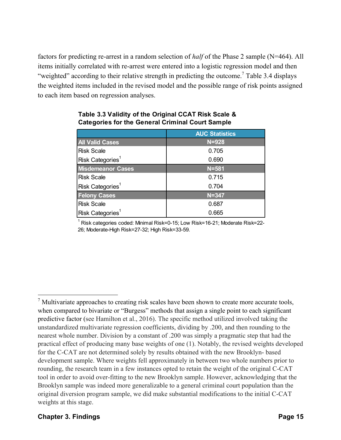factors for predicting re-arrest in a random selection of *half* of the Phase 2 sample (N=464). All items initially correlated with re-arrest were entered into a logistic regression model and then "weighted" according to their relative strength in predicting the outcome.<sup>7</sup> Table 3.4 displays the weighted items included in the revised model and the possible range of risk points assigned to each item based on regression analyses.

|                                | <b>AUC Statistics</b> |
|--------------------------------|-----------------------|
| <b>All Valid Cases</b>         | $N = 928$             |
| <b>Risk Scale</b>              | 0.705                 |
| $Risk$ Categories <sup>1</sup> | 0.690                 |
| <b>Misdemeanor Cases</b>       | $N = 581$             |
| Risk Scale                     | 0.715                 |
| $Risk$ Categories <sup>1</sup> | 0.704                 |
| <b>Felony Cases</b>            | $N = 347$             |
| <b>Risk Scale</b>              | 0.687                 |
| Risk Categories <sup>1</sup>   | 0.665                 |

#### **Table 3.3 Validity of the Original CCAT Risk Scale & Categories for the General Criminal Court Sample**

 $1$  Risk categories coded: Minimal Risk=0-15; Low Risk=16-21; Moderate Risk=22-26; Moderate-High Risk=27-32; High Risk=33-59.

 $<sup>7</sup>$  Multivariate approaches to creating risk scales have been shown to create more accurate tools,</sup> when compared to bivariate or "Burgess" methods that assign a single point to each significant predictive factor (see Hamilton et al., 2016). The specific method utilized involved taking the unstandardized multivariate regression coefficients, dividing by .200, and then rounding to the nearest whole number. Division by a constant of .200 was simply a pragmatic step that had the practical effect of producing many base weights of one (1). Notably, the revised weights developed for the C-CAT are not determined solely by results obtained with the new Brooklyn- based development sample. Where weights fell approximately in between two whole numbers prior to rounding, the research team in a few instances opted to retain the weight of the original C-CAT tool in order to avoid over-fitting to the new Brooklyn sample. However, acknowledging that the Brooklyn sample was indeed more generalizable to a general criminal court population than the original diversion program sample, we did make substantial modifications to the initial C-CAT weights at this stage.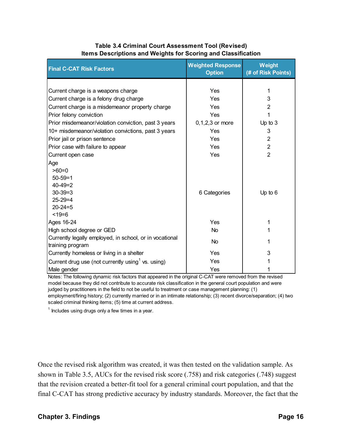#### **Table 3.4 Criminal Court Assessment Tool (Revised) Items Descriptions and Weights for Scoring and Classification**

| <b>Final C-CAT Risk Factors</b>                               | <b>Weighted Response</b><br><b>Option</b> | Weight<br>(# of Risk Points) |
|---------------------------------------------------------------|-------------------------------------------|------------------------------|
|                                                               |                                           |                              |
| Current charge is a weapons charge                            | Yes                                       | 1                            |
| Current charge is a felony drug charge                        | Yes                                       | 3                            |
| Current charge is a misdemeanor property charge               | Yes                                       | 2                            |
| Prior felony conviction                                       | Yes                                       |                              |
| Prior misdemeanor/violation conviction, past 3 years          | $0, 1, 2, 3$ or more                      | Up to $3$                    |
| 10+ misdemeanor/violation convictions, past 3 years           | Yes                                       | 3                            |
| Prior jail or prison sentence                                 | Yes                                       | $\overline{2}$               |
| Prior case with failure to appear                             | Yes                                       | $\overline{2}$               |
| Current open case                                             | Yes                                       | $\overline{2}$               |
| Age                                                           |                                           |                              |
| $>60=0$                                                       |                                           |                              |
| $50 - 59 = 1$                                                 |                                           |                              |
| $40 - 49 = 2$                                                 |                                           |                              |
| $30-39=3$                                                     | 6 Categories                              | Up to $6$                    |
| $25 - 29 = 4$                                                 |                                           |                              |
| $20 - 24 = 5$                                                 |                                           |                              |
| $< 19 = 6$                                                    |                                           |                              |
| Ages 16-24                                                    | Yes                                       | 1                            |
| High school degree or GED                                     | <b>No</b>                                 | 1                            |
| Currently legally employed, in school, or in vocational       | <b>No</b>                                 | 1                            |
| training program                                              | Yes                                       | 3                            |
| Currently homeless or living in a shelter                     |                                           |                              |
| Current drug use (not currently using <sup>1</sup> vs. using) | Yes                                       |                              |
| Male gender                                                   | Yes                                       |                              |

Notes: The following dynamic risk factors that appeared in the original C-CAT were removed from the revised model because they did not contribute to accurate risk classification in the general court population and were judged by practitioners in the field to not be useful to treatment or case management planning: (1) employment/firing history; (2) currently married or in an intimate relationship; (3) recent divorce/separation; (4) two scaled criminal thinking items; (5) time at current address.

 $1$  Includes using drugs only a few times in a year.

Once the revised risk algorithm was created, it was then tested on the validation sample. As shown in Table 3.5, AUCs for the revised risk score (.758) and risk categories (.748) suggest that the revision created a better-fit tool for a general criminal court population, and that the final C-CAT has strong predictive accuracy by industry standards. Moreover, the fact that the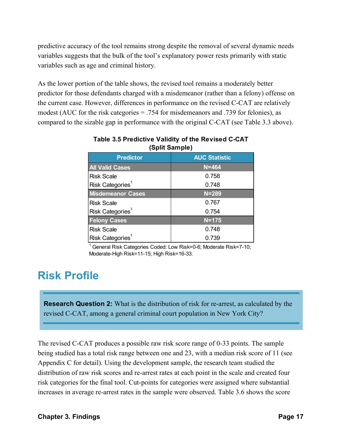predictive accuracy of the tool remains strong despite the removal of several dynamic needs variables suggests that the bulk of the tool's explanatory power rests primarily with static variables such as age and criminal history.

As the lower portion of the table shows, the revised tool remains a moderately better predictor for those defendants charged with a misdemeanor (rather than a felony) offense on the current case. However, differences in performance on the revised C-CAT are relatively modest (AUC for the risk categories = .754 for misdemeanors and .739 for felonies), as compared to the sizable gap in performance with the original C-CAT (see Table 3.3 above).

| <b>Predictor</b>             | <b>AUC Statistic</b> |
|------------------------------|----------------------|
| <b>All Valid Cases</b>       | $N = 464$            |
| <b>Risk Scale</b>            | 0.758                |
| Risk Categories <sup>1</sup> | 0.748                |
| <b>Misdemeanor Cases</b>     | $N = 289$            |
| <b>Risk Scale</b>            | 0.767                |
| Risk Categories <sup>1</sup> | 0.754                |
| <b>Felony Cases</b>          | $N = 175$            |
| <b>Risk Scale</b>            | 0.748                |
| Risk Categories <sup>1</sup> | 0.739                |

| Table 3.5 Predictive Validity of the Revised C-CAT |
|----------------------------------------------------|
| (Split Sample)                                     |

<sup>1</sup> General Risk Categories Coded: Low Risk=0-6; Moderate Risk=7-10; Moderate-High Risk=11-15; High Risk=16-33.

### **Risk Profile**

**Research Question 2:** What is the distribution of risk for re-arrest, as calculated by the revised C-CAT, among a general criminal court population in New York City?

The revised C-CAT produces a possible raw risk score range of 0-33 points. The sample being studied has a total risk range between one and 23, with a median risk score of 11 (see Appendix C for detail). Using the development sample, the research team studied the distribution of raw risk scores and re-arrest rates at each point in the scale and created four risk categories for the final tool. Cut-points for categories were assigned where substantial increases in average re-arrest rates in the sample were observed. Table 3.6 shows the score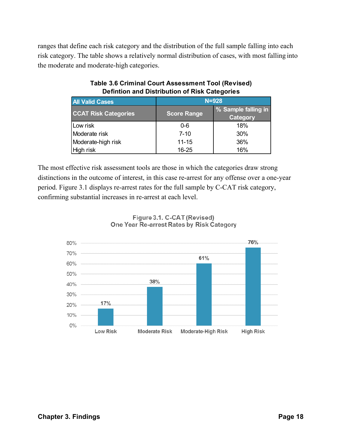ranges that define each risk category and the distribution of the full sample falling into each risk category. The table shows a relatively normal distribution of cases, with most falling into the moderate and moderate-high categories.

| <b>All Valid Cases</b>      | $N = 928$          |                                        |  |
|-----------------------------|--------------------|----------------------------------------|--|
| <b>CCAT Risk Categories</b> | <b>Score Range</b> | % Sample falling in<br><b>Category</b> |  |
| Low risk                    | $0 - 6$            | 18%                                    |  |
| Moderate risk               | $7 - 10$           | 30%                                    |  |
| Moderate-high risk          | $11 - 15$          | 36%                                    |  |
| High risk                   | $16 - 25$          | 16%                                    |  |

#### **Table 3.6 Criminal Court Assessment Tool (Revised) Defintion and Distribution of Risk Categories**

The most effective risk assessment tools are those in which the categories draw strong distinctions in the outcome of interest, in this case re-arrest for any offense over a one-year period. Figure 3.1 displays re-arrest rates for the full sample by C-CAT risk category, confirming substantial increases in re-arrest at each level.



#### Figure 3.1. C-CAT (Revised) One Year Re-arrest Rates by Risk Category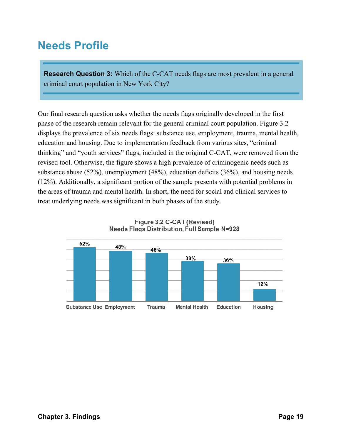### **Needs Profile**

**Research Question 3:** Which of the C-CAT needs flags are most prevalent in a general criminal court population in New York City?

Our final research question asks whether the needs flags originally developed in the first phase of the research remain relevant for the general criminal court population. Figure 3.2 displays the prevalence of six needs flags: substance use, employment, trauma, mental health, education and housing. Due to implementation feedback from various sites, "criminal thinking" and "youth services" flags, included in the original C-CAT, were removed from the revised tool. Otherwise, the figure shows a high prevalence of criminogenic needs such as substance abuse (52%), unemployment (48%), education deficits (36%), and housing needs (12%). Additionally, a significant portion of the sample presents with potential problems in the areas of trauma and mental health. In short, the need for social and clinical services to treat underlying needs was significant in both phases of the study.



Figure 3.2 C-CAT (Revised) **Needs Flags Distribution, Full Sample N=928**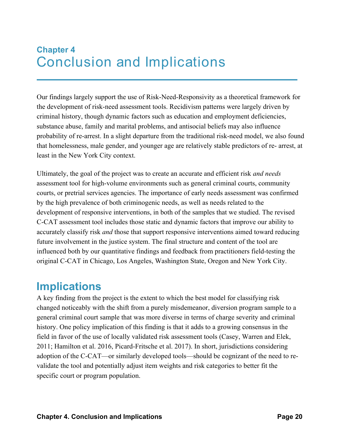### **Chapter 4** Conclusion and Implications

Our findings largely support the use of Risk-Need-Responsivity as a theoretical framework for the development of risk-need assessment tools. Recidivism patterns were largely driven by criminal history, though dynamic factors such as education and employment deficiencies, substance abuse, family and marital problems, and antisocial beliefs may also influence probability of re-arrest. In a slight departure from the traditional risk-need model, we also found that homelessness, male gender, and younger age are relatively stable predictors of re- arrest, at least in the New York City context.

Ultimately, the goal of the project was to create an accurate and efficient risk *and needs*  assessment tool for high-volume environments such as general criminal courts, community courts, or pretrial services agencies. The importance of early needs assessment was confirmed by the high prevalence of both criminogenic needs, as well as needs related to the development of responsive interventions, in both of the samples that we studied. The revised C-CAT assessment tool includes those static and dynamic factors that improve our ability to accurately classify risk *and* those that support responsive interventions aimed toward reducing future involvement in the justice system. The final structure and content of the tool are influenced both by our quantitative findings and feedback from practitioners field-testing the original C-CAT in Chicago, Los Angeles, Washington State, Oregon and New York City.

### **Implications**

A key finding from the project is the extent to which the best model for classifying risk changed noticeably with the shift from a purely misdemeanor, diversion program sample to a general criminal court sample that was more diverse in terms of charge severity and criminal history. One policy implication of this finding is that it adds to a growing consensus in the field in favor of the use of locally validated risk assessment tools (Casey, Warren and Elek, 2011; Hamilton et al. 2016, Picard-Fritsche et al. 2017). In short, jurisdictions considering adoption of the C-CAT—or similarly developed tools—should be cognizant of the need to revalidate the tool and potentially adjust item weights and risk categories to better fit the specific court or program population.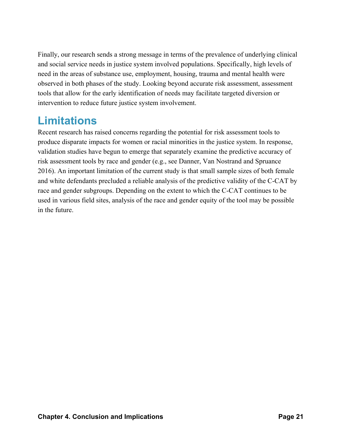Finally, our research sends a strong message in terms of the prevalence of underlying clinical and social service needs in justice system involved populations. Specifically, high levels of need in the areas of substance use, employment, housing, trauma and mental health were observed in both phases of the study. Looking beyond accurate risk assessment, assessment tools that allow for the early identification of needs may facilitate targeted diversion or intervention to reduce future justice system involvement.

### **Limitations**

Recent research has raised concerns regarding the potential for risk assessment tools to produce disparate impacts for women or racial minorities in the justice system. In response, validation studies have begun to emerge that separately examine the predictive accuracy of risk assessment tools by race and gender (e.g., see Danner, Van Nostrand and Spruance 2016). An important limitation of the current study is that small sample sizes of both female and white defendants precluded a reliable analysis of the predictive validity of the C-CAT by race and gender subgroups. Depending on the extent to which the C-CAT continues to be used in various field sites, analysis of the race and gender equity of the tool may be possible in the future.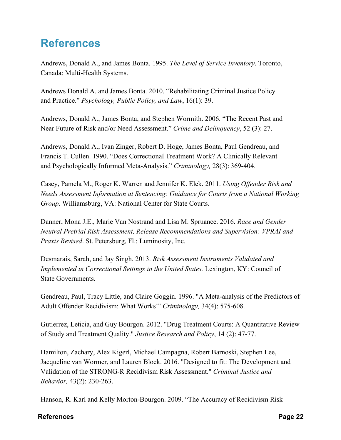### **References**

Andrews, Donald A., and James Bonta. 1995. *The Level of Service Inventory*. Toronto, Canada: Multi-Health Systems.

Andrews Donald A. and James Bonta. 2010. "Rehabilitating Criminal Justice Policy and Practice." *Psychology, Public Policy, and Law*, 16(1): 39.

Andrews, Donald A., James Bonta, and Stephen Wormith. 2006. "The Recent Past and Near Future of Risk and/or Need Assessment." *Crime and Delinquency*, 52 (3): 27.

Andrews, Donald A., Ivan Zinger, Robert D. Hoge, James Bonta, Paul Gendreau, and Francis T. Cullen. 1990. "Does Correctional Treatment Work? A Clinically Relevant and Psychologically Informed Meta-Analysis." *Criminology,* 28(3): 369-404.

Casey, Pamela M., Roger K. Warren and Jennifer K. Elek. 2011. *Using Offender Risk and Needs Assessment Information at Sentencing: Guidance for Courts from a National Working Group*. Williamsburg, VA: National Center for State Courts.

Danner, Mona J.E., Marie Van Nostrand and Lisa M. Spruance. 2016. *Race and Gender Neutral Pretrial Risk Assessment, Release Recommendations and Supervision: VPRAI and Praxis Revised*. St. Petersburg, Fl.: Luminosity, Inc.

Desmarais, Sarah, and Jay Singh. 2013. *Risk Assessment Instruments Validated and Implemented in Correctional Settings in the United States. Lexington, KY: Council of* State Governments.

Gendreau, Paul, Tracy Little, and Claire Goggin. 1996. "A Meta-analysis of the Predictors of Adult Offender Recidivism: What Works!" *Criminology,* 34(4): 575-608.

Gutierrez, Leticia, and Guy Bourgon. 2012. "Drug Treatment Courts: A Quantitative Review of Study and Treatment Quality." *Justice Research and Policy*, 14 (2): 47-77.

Hamilton, Zachary, Alex Kigerl, Michael Campagna, Robert Barnoski, Stephen Lee, Jacqueline van Wormer, and Lauren Block. 2016. "Designed to fit: The Development and Validation of the STRONG-R Recidivism Risk Assessment." *Criminal Justice and Behavior,* 43(2): 230-263.

Hanson, R. Karl and Kelly Morton-Bourgon. 2009. "The Accuracy of Recidivism Risk

#### **References Page 22**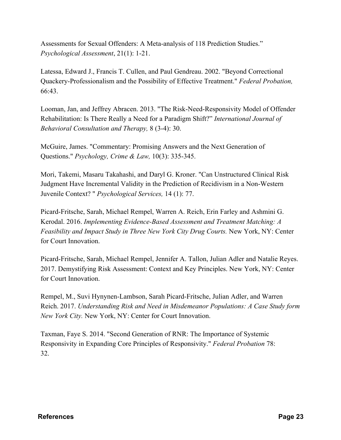Assessments for Sexual Offenders: A Meta-analysis of 118 Prediction Studies." *Psychological Assessment*, 21(1): 1-21.

Latessa, Edward J., Francis T. Cullen, and Paul Gendreau. 2002. "Beyond Correctional Quackery-Professionalism and the Possibility of Effective Treatment." *Federal Probation,*  66:43.

Looman, Jan, and Jeffrey Abracen. 2013. "The Risk-Need-Responsivity Model of Offender Rehabilitation: Is There Really a Need for a Paradigm Shift?" *International Journal of Behavioral Consultation and Therapy,* 8 (3-4): 30.

McGuire, James. "Commentary: Promising Answers and the Next Generation of Questions." *Psychology, Crime & Law,* 10(3): 335-345.

Mori, Takemi, Masaru Takahashi, and Daryl G. Kroner. "Can Unstructured Clinical Risk Judgment Have Incremental Validity in the Prediction of Recidivism in a Non-Western Juvenile Context? " *Psychological Services,* 14 (1): 77.

Picard-Fritsche, Sarah, Michael Rempel, Warren A. Reich, Erin Farley and Ashmini G. Kerodal. 2016. *Implementing Evidence-Based Assessment and Treatment Matching: A Feasibility and Impact Study in Three New York City Drug Courts.* New York, NY: Center for Court Innovation.

Picard-Fritsche, Sarah, Michael Rempel, Jennifer A. Tallon, Julian Adler and Natalie Reyes. 2017. Demystifying Risk Assessment: Context and Key Principles. New York, NY: Center for Court Innovation.

Rempel, M., Suvi Hynynen-Lambson, Sarah Picard-Fritsche, Julian Adler, and Warren Reich. 2017. *Understanding Risk and Need in Misdemeanor Populations: A Case Study form New York City.* New York, NY: Center for Court Innovation.

Taxman, Faye S. 2014. "Second Generation of RNR: The Importance of Systemic Responsivity in Expanding Core Principles of Responsivity." *Federal Probation* 78: 32.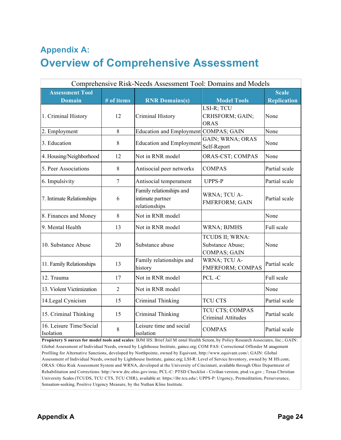### **Appendix A: Overview of Comprehensive Assessment**

| Comprehensive Risk-Needs Assessment Tool: Domains and Models |                |                                                               |                                                            |                    |
|--------------------------------------------------------------|----------------|---------------------------------------------------------------|------------------------------------------------------------|--------------------|
| <b>Scale</b><br><b>Assessment Tool</b>                       |                |                                                               |                                                            |                    |
| <b>Domain</b>                                                | # of items     | <b>RNR Domains(s)</b>                                         | <b>Model Tools</b>                                         | <b>Replication</b> |
| 1. Criminal History                                          | 12             | Criminal History                                              | LSI-R; TCU<br>CRHSFORM; GAIN;<br><b>ORAS</b>               | None               |
| 2. Employment                                                | 8              | <b>Education and Employment</b>                               | <b>COMPAS; GAIN</b>                                        | None               |
| 3. Education                                                 | 8              | <b>Education and Employment</b>                               | GAIN; WRNA; ORAS<br>Self-Report                            | None               |
| 4. Housing/Neighborhood                                      | 12             | Not in RNR model                                              | ORAS-CST; COMPAS                                           | None               |
| 5. Peer Associations                                         | 8              | Antisocial peer networks                                      | <b>COMPAS</b>                                              | Partial scale      |
| 6. Impulsivity                                               | $\tau$         | Antisocial temperament                                        | <b>UPPS-P</b>                                              | Partial scale      |
| 7. Intimate Relationships                                    | 6              | Family relationships and<br>intimate partner<br>relationships | WRNA; TCU A-<br><b>FMFRFORM; GAIN</b>                      | Partial scale      |
| 8. Finances and Money                                        | 8              | Not in RNR model                                              |                                                            | None               |
| 9. Mental Health                                             | 13             | Not in RNR model                                              | <b>WRNA</b> ; BJMHS                                        | Full scale         |
| 10. Substance Abuse                                          | 20             | Substance abuse                                               | TCUDS II; WRNA:<br>Substance Abuse;<br><b>COMPAS; GAIN</b> | None               |
| 11. Family Relationships                                     | 13             | Family relationships and<br>history                           | WRNA; TCU A-<br>FMFRFORM; COMPAS                           | Partial scale      |
| 12. Trauma                                                   | 17             | Not in RNR model                                              | PCL-C                                                      | Full scale         |
| 13. Violent Victimization                                    | $\overline{2}$ | Not in RNR model                                              |                                                            | None               |
| 14. Legal Cynicism                                           | 15             | Criminal Thinking                                             | <b>TCU CTS</b>                                             | Partial scale      |
| 15. Criminal Thinking                                        | 15             | Criminal Thinking                                             | TCU CTS; COMPAS<br><b>Criminal Attitudes</b>               | Partial scale      |
| 16. Leisure Time/Social<br>Isolation                         | 8              | Leisure time and social<br>isolation                          | <b>COMPAS</b>                                              | Partial scale      |

**Propietery S ources for model tools and scales**: BJM HS: Brief Jail M ental Health Screen, by Policy Research Associates, Inc.; GAIN: Global Assessment of Individual Needs, owned by Lighthouse Institute, gaincc.org; COM PAS: Correctional Offender M anagement Profiling for Alternative Sanctions, developed by Northpointe, owned by Equivant, http://www.equivant.com/; GAIN: Global Assessment of Individual Needs, owned by Lighthouse Institute, gaincc.org; LSI-R: Level of Service Inventory, owned by M HS.com; ORAS: Ohio Risk Assessment System and WRNA, developed at the University of Cincinnati, available through Ohio Department of Rehabilitation and Corrections: http://www.drc.ohio.gov/oras; PCL-C: PTSD Checklist - Civilian version, ptsd.va.gov ; Texas Christian University Scales (TCUDS, TCU CTS, TCU CHR), available at: https://ibr.tcu.edu/; UPPS-P: Urgency, Premeditation, Perseverance, Sensation-seeking, Positive Urgency Measure, by the Nathan Kline Institute.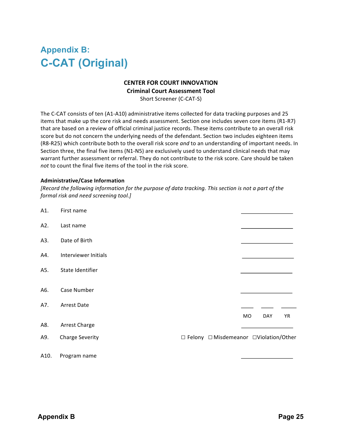#### **Appendix B: C-CAT (Original)**

#### **CENTER FOR COURT INNOVATION**

**Criminal Court Assessment Tool** 

Short Screener (C-CAT-S)

The C-CAT consists of ten (A1-A10) administrative items collected for data tracking purposes and 25 items that make up the core risk and needs assessment. Section one includes seven core items (R1-R7) that are based on a review of official criminal justice records. These items contribute to an overall risk score but do not concern the underlying needs of the defendant. Section two includes eighteen items (R8-R25) which contribute both to the overall risk score and to an understanding of important needs. In Section three, the final five items (N1-N5) are exclusively used to understand clinical needs that may warrant further assessment or referral. They do not contribute to the risk score. Care should be taken *not* to count the final five items of the tool in the risk score.

#### **Administrative/Case Information**

*[Record the following information for the purpose of data tracking. This section is not a part of the formal risk and need screening tool.]*

| A1.  | First name             |                                          |    |            |    |
|------|------------------------|------------------------------------------|----|------------|----|
| A2.  | Last name              |                                          |    |            |    |
| A3.  | Date of Birth          |                                          |    |            |    |
| A4.  | Interviewer Initials   |                                          |    |            |    |
| A5.  | State Identifier       |                                          |    |            |    |
| A6.  | Case Number            |                                          |    |            |    |
| A7.  | <b>Arrest Date</b>     |                                          |    |            |    |
|      |                        |                                          | MO | <b>DAY</b> | YR |
| A8.  | Arrest Charge          |                                          |    |            |    |
| A9.  | <b>Charge Severity</b> | □ Felony □ Misdemeanor □ Violation/Other |    |            |    |
| A10. | Program name           |                                          |    |            |    |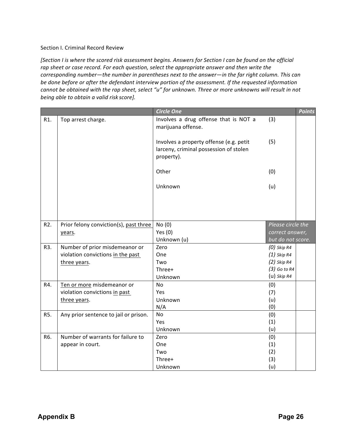#### Section I. Criminal Record Review

[Section I is where the scored risk assessment begins. Answers for Section I can be found on the official rap sheet or case record. For each question, select the appropriate answer and then write the *corresponding number—the number in parentheses next to the answer—in the far right column. This can* be done before or after the defendant interview portion of the assessment. If the requested information *cannot be obtained with the rap sheet, select "u" for unknown. Three or more unknowns will result in not being able to obtain a valid risk score].*

|                  |                                        | <b>Circle One</b>                                                                               |                   | <b>Points</b> |
|------------------|----------------------------------------|-------------------------------------------------------------------------------------------------|-------------------|---------------|
| R1.              | Top arrest charge.                     | Involves a drug offense that is NOT a<br>marijuana offense.                                     | (3)               |               |
|                  |                                        | Involves a property offense (e.g. petit<br>larceny, criminal possession of stolen<br>property). | (5)               |               |
|                  |                                        | Other                                                                                           | (0)               |               |
|                  |                                        | Unknown                                                                                         | (u)               |               |
|                  |                                        |                                                                                                 |                   |               |
|                  |                                        |                                                                                                 |                   |               |
| R <sub>2</sub> . | Prior felony conviction(s), past three | No(0)                                                                                           | Please circle the |               |
|                  | years.                                 | Yes $(0)$                                                                                       | correct answer,   |               |
|                  |                                        | Unknown (u)                                                                                     | but do not score. |               |
| R3.              | Number of prior misdemeanor or         | Zero                                                                                            | $(0)$ Skip R4     |               |
|                  | violation convictions in the past      | One                                                                                             | $(1)$ Skip R4     |               |
|                  | three years.                           | Two                                                                                             | $(2)$ Skip R4     |               |
|                  |                                        | Three+                                                                                          | $(3)$ Go to R4    |               |
|                  |                                        | Unknown                                                                                         | $(u)$ Skip R4     |               |
| R4.              | Ten or more misdemeanor or             | No                                                                                              | (0)               |               |
|                  | violation convictions in past          | Yes                                                                                             | (7)               |               |
|                  | three years.                           | Unknown                                                                                         | (u)               |               |
|                  |                                        | N/A                                                                                             | (0)               |               |
| R5.              | Any prior sentence to jail or prison.  | No                                                                                              | (0)               |               |
|                  |                                        | Yes                                                                                             | (1)               |               |
|                  |                                        | Unknown                                                                                         | (u)               |               |
| R6.              | Number of warrants for failure to      | Zero                                                                                            | (0)               |               |
|                  | appear in court.                       | One                                                                                             | (1)               |               |
|                  |                                        | Two                                                                                             | (2)               |               |
|                  |                                        | Three+                                                                                          | (3)               |               |
|                  |                                        | Unknown                                                                                         | (u)               |               |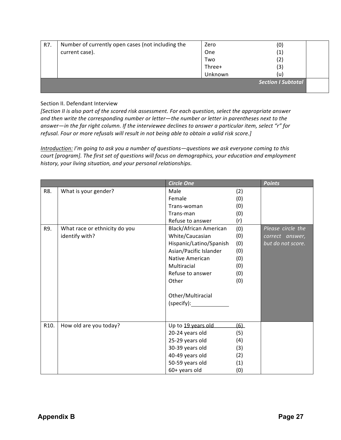| R7. | Number of currently open cases (not including the | Zero    | (0)                       |
|-----|---------------------------------------------------|---------|---------------------------|
|     | current case).                                    | One     | $\left( 1\right)$         |
|     |                                                   | Two     | $\left( 2\right)$         |
|     |                                                   | Three+  | (3)                       |
|     |                                                   | Unknown | (u)                       |
|     |                                                   |         | <b>Section I Subtotal</b> |
|     |                                                   |         |                           |

#### Section II. Defendant Interview

[Section II is also part of the scored risk assessment. For each question, select the appropriate answer and then write the corresponding number or letter—the number or letter in parentheses next to the answer—in the far right column. If the interviewee declines to answer a particular item, select "r" for refusal. Four or more refusals will result in not being able to obtain a valid risk score.]

*Introduction: I'm going to ask you a number of questions*—questions we ask everyone coming to this court [program]. The first set of questions will focus on demographics, your education and employment history, your living situation, and your personal relationships.

|      |                               | <b>Circle One</b>             |     | <b>Points</b>     |
|------|-------------------------------|-------------------------------|-----|-------------------|
| R8.  | What is your gender?          | Male                          | (2) |                   |
|      |                               | Female                        | (0) |                   |
|      |                               | Trans-woman                   | (0) |                   |
|      |                               | Trans-man                     | (0) |                   |
|      |                               | Refuse to answer              | (r) |                   |
| R9.  | What race or ethnicity do you | <b>Black/African American</b> | (0) | Please circle the |
|      | identify with?                | White/Caucasian               | (0) | correct answer,   |
|      |                               | Hispanic/Latino/Spanish       | (0) | but do not score. |
|      |                               | Asian/Pacific Islander        | (0) |                   |
|      |                               | <b>Native American</b>        | (0) |                   |
|      |                               | Multiracial                   | (0) |                   |
|      |                               | Refuse to answer              | (0) |                   |
|      |                               | Other                         | (0) |                   |
|      |                               |                               |     |                   |
|      |                               | Other/Multiracial             |     |                   |
|      |                               | (specify):                    |     |                   |
|      |                               |                               |     |                   |
|      |                               |                               |     |                   |
| R10. | How old are you today?        | Up to 19 years old            | (6) |                   |
|      |                               | 20-24 years old               | (5) |                   |
|      |                               | 25-29 years old               | (4) |                   |
|      |                               | 30-39 years old               | (3) |                   |
|      |                               | 40-49 years old               | (2) |                   |
|      |                               | 50-59 years old               | (1) |                   |
|      |                               | 60+ years old                 | (0) |                   |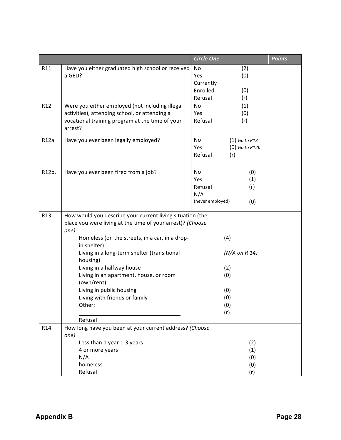|       |                                                                                                                                                                                                                                                                                                                                                                                                                                    | <b>Circle One</b>                                                           | <b>Points</b> |
|-------|------------------------------------------------------------------------------------------------------------------------------------------------------------------------------------------------------------------------------------------------------------------------------------------------------------------------------------------------------------------------------------------------------------------------------------|-----------------------------------------------------------------------------|---------------|
| R11.  | Have you either graduated high school or received<br>a GED?                                                                                                                                                                                                                                                                                                                                                                        | No<br>(2)<br>Yes<br>(0)<br>Currently<br>Enrolled<br>(0)<br>Refusal<br>(r)   |               |
| R12.  | Were you either employed (not including illegal<br>activities), attending school, or attending a<br>vocational training program at the time of your<br>arrest?                                                                                                                                                                                                                                                                     | No<br>(1)<br>(0)<br>Yes<br>Refusal<br>(r)                                   |               |
| R12a. | Have you ever been legally employed?                                                                                                                                                                                                                                                                                                                                                                                               | No<br>$(1)$ Go to R13<br>Yes<br>$(0)$ Go to R12b<br>Refusal<br>(r)          |               |
| R12b. | Have you ever been fired from a job?                                                                                                                                                                                                                                                                                                                                                                                               | No<br>(0)<br>Yes<br>(1)<br>Refusal<br>(r)<br>N/A<br>(never employed)<br>(0) |               |
| R13.  | How would you describe your current living situation (the<br>place you were living at the time of your arrest)? (Choose<br>one)<br>Homeless (on the streets, in a car, in a drop-<br>in shelter)<br>Living in a long-term shelter (transitional<br>housing)<br>Living in a halfway house<br>Living in an apartment, house, or room<br>(own/rent)<br>Living in public housing<br>Living with friends or family<br>Other:<br>Refusal | (4)<br>$(N/A$ on R 14)<br>(2)<br>(0)<br>(0)<br>(0)<br>(0)<br>(r)            |               |
| R14.  | How long have you been at your current address? (Choose<br>one)<br>Less than 1 year 1-3 years<br>4 or more years<br>N/A<br>homeless<br>Refusal                                                                                                                                                                                                                                                                                     | (2)<br>(1)<br>(0)<br>(0)<br>(r)                                             |               |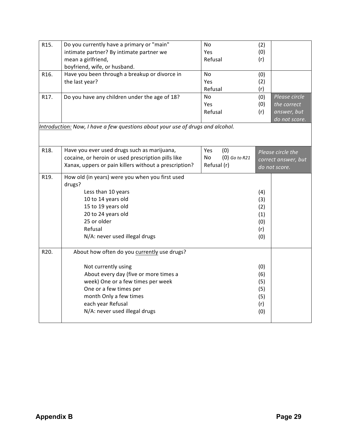| R15. | Do you currently have a primary or "main"                                      | No                    | (2) |                     |
|------|--------------------------------------------------------------------------------|-----------------------|-----|---------------------|
|      | intimate partner? By intimate partner we                                       | <b>Yes</b>            | (0) |                     |
|      | mean a girlfriend,                                                             | Refusal               | (r) |                     |
|      | boyfriend, wife, or husband.                                                   |                       |     |                     |
| R16. | Have you been through a breakup or divorce in                                  | No                    | (0) |                     |
|      | the last year?                                                                 | Yes                   | (2) |                     |
|      |                                                                                | Refusal               | (r) |                     |
| R17. | Do you have any children under the age of 18?                                  | No                    | (0) | Please circle       |
|      |                                                                                | Yes                   | (0) | the correct         |
|      |                                                                                | Refusal               | (r) | answer, but         |
|      |                                                                                |                       |     | do not score.       |
|      | Introduction: Now, I have a few questions about your use of drugs and alcohol. |                       |     |                     |
|      |                                                                                |                       |     |                     |
|      |                                                                                |                       |     |                     |
| R18. | Have you ever used drugs such as marijuana,                                    | Yes<br>(0)            |     |                     |
|      | cocaine, or heroin or used prescription pills like                             | $(0)$ Go to R21<br>No |     | Please circle the   |
|      | Xanax, uppers or pain killers without a prescription?                          | Refusal (r)           |     | correct answer, but |
|      |                                                                                |                       |     | do not score.       |
| R19. | How old (in years) were you when you first used                                |                       |     |                     |
|      | drugs?                                                                         |                       |     |                     |
|      | Less than 10 years                                                             |                       | (4) |                     |
|      | 10 to 14 years old                                                             |                       | (3) |                     |
|      | 15 to 19 years old                                                             |                       | (2) |                     |
|      | 20 to 24 years old                                                             |                       | (1) |                     |
|      | 25 or older                                                                    |                       | (0) |                     |
|      | Refusal                                                                        |                       | (r) |                     |
|      | N/A: never used illegal drugs                                                  |                       | (0) |                     |
|      |                                                                                |                       |     |                     |
| R20. | About how often do you currently use drugs?                                    |                       |     |                     |
|      |                                                                                |                       |     |                     |
|      | Not currently using                                                            |                       | (0) |                     |
|      | About every day (five or more times a                                          |                       | (6) |                     |
|      | week) One or a few times per week                                              |                       | (5) |                     |
|      | One or a few times per                                                         |                       | (5) |                     |
|      | month Only a few times                                                         |                       | (5) |                     |
|      | each year Refusal                                                              |                       | (r) |                     |
|      | N/A: never used illegal drugs                                                  |                       |     |                     |
|      |                                                                                |                       | (0) |                     |
|      |                                                                                |                       |     |                     |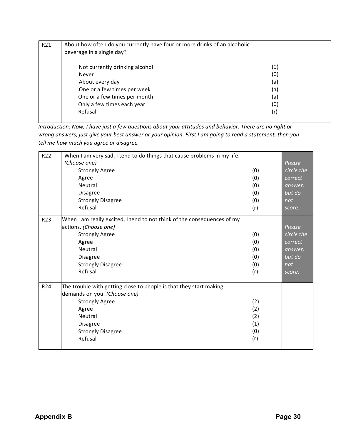| R21. | About how often do you currently have four or more drinks of an alcoholic<br>beverage in a single day? |     |  |
|------|--------------------------------------------------------------------------------------------------------|-----|--|
|      | Not currently drinking alcohol                                                                         | (0) |  |
|      | Never                                                                                                  | (0) |  |
|      | About every day                                                                                        | (a) |  |
|      | One or a few times per week                                                                            | (a) |  |
|      | One or a few times per month                                                                           | (a) |  |
|      | Only a few times each year                                                                             | (0) |  |
|      | Refusal                                                                                                | (r) |  |

*Introduction:* Now, I have just a few questions about your attitudes and behavior. There are no right or *wrong answers, just give your best answer or your opinion. First I am going to read a statement, then you tell me how much you agree or disagree.*

| R22.              | When I am very sad, I tend to do things that cause problems in my life.<br>(Choose one) |     |                      |
|-------------------|-----------------------------------------------------------------------------------------|-----|----------------------|
|                   | <b>Strongly Agree</b>                                                                   | (0) | Please<br>circle the |
|                   | Agree                                                                                   | (0) | correct              |
|                   | Neutral                                                                                 | (0) | answer,              |
|                   | <b>Disagree</b>                                                                         | (0) | but do               |
|                   | <b>Strongly Disagree</b>                                                                | (0) | not                  |
|                   | Refusal                                                                                 |     |                      |
|                   |                                                                                         | (r) | score.               |
| R23.              | When I am really excited, I tend to not think of the consequences of my                 |     |                      |
|                   | actions. (Choose one)                                                                   |     | Please               |
|                   | <b>Strongly Agree</b>                                                                   | (0) | circle the           |
|                   | Agree                                                                                   | (0) | correct              |
|                   | Neutral                                                                                 | (0) | answer,              |
|                   | <b>Disagree</b>                                                                         | (0) | but do               |
|                   | <b>Strongly Disagree</b>                                                                | (0) | not                  |
|                   | Refusal                                                                                 | (r) | score.               |
|                   |                                                                                         |     |                      |
| R <sub>24</sub> . | The trouble with getting close to people is that they start making                      |     |                      |
|                   | demands on you. (Choose one)                                                            |     |                      |
|                   | <b>Strongly Agree</b>                                                                   | (2) |                      |
|                   | Agree                                                                                   | (2) |                      |
|                   | Neutral                                                                                 | (2) |                      |
|                   | <b>Disagree</b>                                                                         | (1) |                      |
|                   | <b>Strongly Disagree</b>                                                                | (0) |                      |
|                   | Refusal                                                                                 | (r) |                      |
|                   |                                                                                         |     |                      |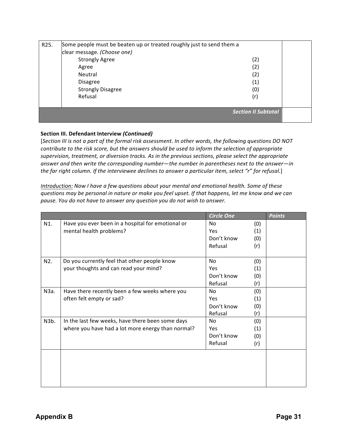| R <sub>25</sub> . | Some people must be beaten up or treated roughly just to send them a |                            |  |
|-------------------|----------------------------------------------------------------------|----------------------------|--|
|                   | clear message. (Choose one)                                          |                            |  |
|                   | <b>Strongly Agree</b>                                                | (2)                        |  |
|                   | Agree                                                                | (2)                        |  |
|                   | Neutral                                                              | (2)                        |  |
|                   | <b>Disagree</b>                                                      | (1)                        |  |
|                   | <b>Strongly Disagree</b>                                             | (0)                        |  |
|                   | Refusal                                                              | (r)                        |  |
|                   |                                                                      |                            |  |
|                   |                                                                      | <b>Section II Subtotal</b> |  |
|                   |                                                                      |                            |  |

#### **Section III. Defendant Interview** *(Continued)*

[Section III is not a part of the formal risk assessment. In other words, the following questions DO NOT *contribute to the risk score, but the answers should be used to inform the selection of appropriate* supervision, treatment, or diversion tracks. As in the previous sections, please select the appropriate answer and then write the corresponding number—the number in parentheses next to the answer—in the far right column. If the interviewee declines to answer a particular item, select "r" for refusal.]

*Introduction: Now I have a few questions about your mental and emotional health. Some of these questions* may be personal in nature or make you feel upset. If that happens, let me know and we can *pause. You do not have to answer any question you do not wish to answer.*

|      |                                                   | <b>Circle One</b> |     | <b>Points</b> |
|------|---------------------------------------------------|-------------------|-----|---------------|
| N1.  | Have you ever been in a hospital for emotional or | No.               | (0) |               |
|      | mental health problems?                           | Yes               | (1) |               |
|      |                                                   | Don't know        | (0) |               |
|      |                                                   | Refusal           | (r) |               |
|      |                                                   |                   |     |               |
| N2.  | Do you currently feel that other people know      | <b>No</b>         | (0) |               |
|      | your thoughts and can read your mind?             | Yes               | (1) |               |
|      |                                                   | Don't know        | (0) |               |
|      |                                                   | Refusal           | (r) |               |
| N3a. | Have there recently been a few weeks where you    | <b>No</b>         | (0) |               |
|      | often felt empty or sad?                          | Yes               | (1) |               |
|      |                                                   | Don't know        | (0) |               |
|      |                                                   | Refusal           | (r) |               |
| N3b. | In the last few weeks, have there been some days  | No.               | (0) |               |
|      | where you have had a lot more energy than normal? | Yes               | (1) |               |
|      |                                                   | Don't know        | (0) |               |
|      |                                                   | Refusal           | (r) |               |
|      |                                                   |                   |     |               |
|      |                                                   |                   |     |               |
|      |                                                   |                   |     |               |
|      |                                                   |                   |     |               |
|      |                                                   |                   |     |               |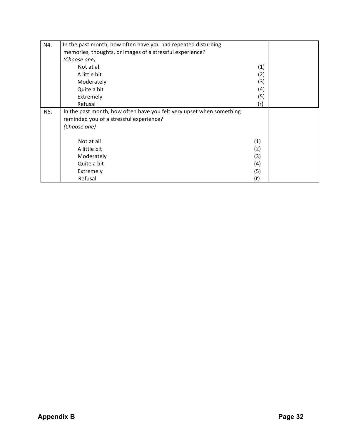| N4. | In the past month, how often have you had repeated disturbing        |     |  |
|-----|----------------------------------------------------------------------|-----|--|
|     | memories, thoughts, or images of a stressful experience?             |     |  |
|     | (Choose one)                                                         |     |  |
|     | Not at all                                                           | (1) |  |
|     | A little bit                                                         | (2) |  |
|     | Moderately                                                           | (3) |  |
|     | Quite a bit                                                          | (4) |  |
|     | Extremely                                                            | (5) |  |
|     | Refusal                                                              | (r) |  |
| N5. | In the past month, how often have you felt very upset when something |     |  |
|     | reminded you of a stressful experience?                              |     |  |
|     | (Choose one)                                                         |     |  |
|     |                                                                      |     |  |
|     | Not at all                                                           | (1) |  |
|     | A little bit                                                         | (2) |  |
|     | Moderately                                                           | (3) |  |
|     | Quite a bit                                                          | (4) |  |
|     | Extremely                                                            | (5) |  |
|     | Refusal                                                              | (r) |  |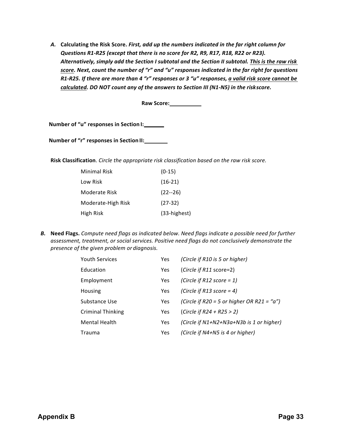A. Calculating the Risk Score. First, add up the numbers indicated in the far right column for *Questions R1-R25 (except that there is no score for R2, R9, R17, R18, R22 or R23).* Alternatively, simply add the Section I subtotal and the Section II subtotal. This is the raw risk *score.* Next, count the number of "r" and "u" responses indicated in the far right for questions *R1-R25. If there are more than 4 "r" responses or 3 "u" responses, a valid risk score cannot be calculated.* DO NOT count any of the answers to Section III (N1-N5) in the riskscore.

**Raw Score:**

**Number of "u" responses in Section I:** 

**Number of "r" responses in Section II:** 

**Risk Classification**. *Circle the appropriate risk classification based on the raw risk score.* 

| Minimal Risk       | $(0-15)$     |
|--------------------|--------------|
| Low Risk           | $(16-21)$    |
| Moderate Risk      | $(22 - 26)$  |
| Moderate-High Risk | $(27-32)$    |
| High Risk          | (33-highest) |

**B.** Need Flags. Compute need flags as indicated below. Need flags indicate a possible need for further assessment, treatment, or social services. Positive need flags do not conclusively demonstrate the *presence of the given problem or diagnosis.*

| <b>Youth Services</b>    | Yes.       | (Circle if R10 is 5 or higher)                 |
|--------------------------|------------|------------------------------------------------|
| Education                | Yes        | (Circle if $R11$ score=2)                      |
| Employment               | <b>Yes</b> | (Circle if R12 score = 1)                      |
| Housing                  | Yes        | (Circle if R13 score = 4)                      |
| Substance Use            | <b>Yes</b> | (Circle if R20 = 5 or higher OR R21 = " $a$ ") |
| <b>Criminal Thinking</b> | <b>Yes</b> | (Circle if $R24 + R25 > 2$ )                   |
| <b>Mental Health</b>     | <b>Yes</b> | (Circle if $N1+N2+N3a+N3b$ is 1 or higher)     |
| Trauma                   | <b>Yes</b> | (Circle if N4+N5 is 4 or higher)               |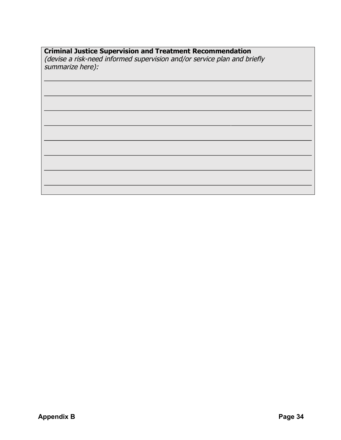#### **Criminal Justice Supervision and Treatment Recommendation**

(devise a risk-need informed supervision and/or service plan and briefly summarize here):